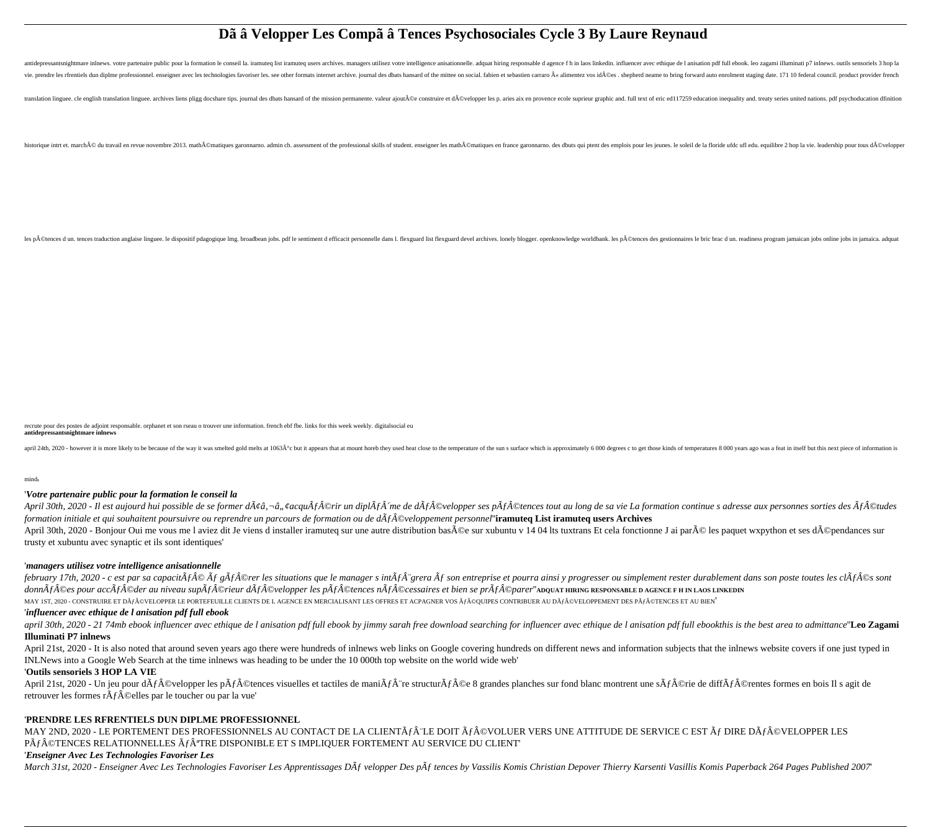# **Dã â Velopper Les Compã â Tences Psychosociales Cycle 3 By Laure Reynaud**

antidepressantsnightmare inlnews. votre partenaire public pour la formation le conseil la. iramuteq list iramuteq users archives. managers utilisez votre intelligence anisationnelle. adquat hiring responsable d agence f h vie. prendre les rfrentiels dun diplme professionnel. enseigner avec les technologies favoriser les. see other formats internet archive. journal des dbats hansard of the mittee on social. fabien et sebastien carraro « ali

translation linguee. cle english translation linguee. archives liens pligg docshare tips. journal des dbats hansard of the mission permanente. valeur ajoutÂ@e construire et dÂ@velopper les p. aries aix en provence ecole su

historique intrt et. march© du travail en revue novembre 2013. math©matiques garonnarno. admin ch. assessment of the professional skills of student. enseigner les math©matiques en france garonnarno. des dbuts qui ptent

les p©tences d un. tences traduction anglaise linguee. le dispositif pdagogique lmg. broadbean jobs. pdf le sentiment d efficacit personnelle dans l. flexguard devel archives. lonely blogger. openknowledge worldbank. les

recrute pour des postes de adjoint responsable. orphanet et son rseau o trouver une information. french ebf fbe. links for this week weekly. digitalsocial eu **antidepressantsnightmare inlnews**

april 24th, 2020 - however it is more likely to be because of the way it was smelted gold melts at 1063Űc but it appears that at mount horeb they used heat close to the temperature of the sun s surface which is approximat

mind'

# '*Votre partenaire public pour la formation le conseil la*

April 30th, 2020 - Il est aujourd hui possible de se former d $\tilde{A} \phi \hat{a}$ ,  $\phi a \phi \hat{a}$ ,  $\phi a \phi \hat{a}$ ,  $\phi a \phi \hat{a}$   $\hat{A} \circ \hat{b}$   $\hat{A} \circ \hat{b}$   $\hat{a}$   $\hat{A} \circ \hat{a}$   $\hat{A} \circ \hat{b}$   $\hat{d}$   $\hat{A} \circ \hat{b}$   $\hat{d}$   $\hat{$ *formation initiale et qui souhaitent poursuivre ou reprendre un parcours de formation ou de dÂfÂ*©veloppement personnel"**iramuteq List iramuteq users Archives** April 30th, 2020 - Bonjour Oui me vous me l aviez dit Je viens d installer iramuteq sur une autre distribution basée sur xubuntu v 14 04 lts tuxtrans Et cela fonctionne J ai paré les paquet wxpython et ses dépendances s trusty et xubuntu avec synaptic et ils sont identiques'

# '*managers utilisez votre intelligence anisationnelle*

february 17th, 2020 - c est par sa capacit $\tilde{A}f \hat{A} \odot \tilde{A}f \hat{A} \odot$ rer les situations que le manager s int $\tilde{A}f \hat{A}^{\circ}$ grera  $\tilde{A}f$  son entreprise et pourra ainsi y progresser ou simplement rester durablemen donnà f©es pour accà f©der au niveau supà f©rieur dà f©velopper les pà f©tences nà f©cessaires et bien se prà f©parer''A**DO**UAT HIRING RESPONSABLE D AGENCE F H IN LAOS LINKEDIN

MAY 1ST, 2020 - CONSTRUIRE ET Dà f©VELOPPER LE PORTEFEUILLE CLIENTS DE L AGENCE EN MERCIALISANT LES OFFRES ET ACPAGNER VOS à f©QUIPES CONTRIBUER AU Dà f©VELOPPEMENT DES Pà f©TENCES ET AU BIEN'

# '*influencer avec ethique de l anisation pdf full ebook*

april 30th, 2020 - 21 74mb ebook influencer avec ethique de l anisation pdf full ebook by jimmy sarah free download searching for influencer avec ethique de l anisation pdf full ebookthis is the best area to admittance"Leo **Illuminati P7 inlnews**

April 21st, 2020 - It is also noted that around seven years ago there were hundreds of inlnews web links on Google covering hundreds on different news and information subjects that the inlnews website covers if one just ty INLNews into a Google Web Search at the time inlnews was heading to be under the 10 000th top website on the world wide web'

# '**Outils sensoriels 3 HOP LA VIE**

April 21st, 2020 - Un jeu pour d $\tilde{A}f\hat{A}$ ©velopper les p $\tilde{A}f\hat{A}$ ©tences visuelles et tactiles de mani $\tilde{A}f\hat{A}$ "re structur $\tilde{A}f\hat{A}$ ©e 8 grandes planches sur fond blanc montrent une s $\tilde{A}f\hat{A}$ ©rie retrouver les formes r $\tilde{A}f\hat{A}$ ©elles par le toucher ou par la vue'

# '**PRENDRE LES RFRENTIELS DUN DIPLME PROFESSIONNEL**

MAY 2ND, 2020 - LE PORTEMENT DES PROFESSIONNELS AU CONTACT DE LA CLIENTà f LE DOIT à f©VOLUER VERS UNE ATTITUDE DE SERVICE C EST à f DIRE Dà f©VELOPPER LES Pà F©TENCES RELATIONNELLES à FªTRE DISPONIBLE ET S IMPLIQUER FORTEMENT AU SERVICE DU CLIENT

# '*Enseigner Avec Les Technologies Favoriser Les*

*March 31st, 2020 - Enseigner Avec Les Technologies Favoriser Les Apprentissages Dà velopper Des pà tences by Vassilis Komis Christian Depover Thierry Karsenti Vasillis Komis Paperback 264 Pages Published 2007*'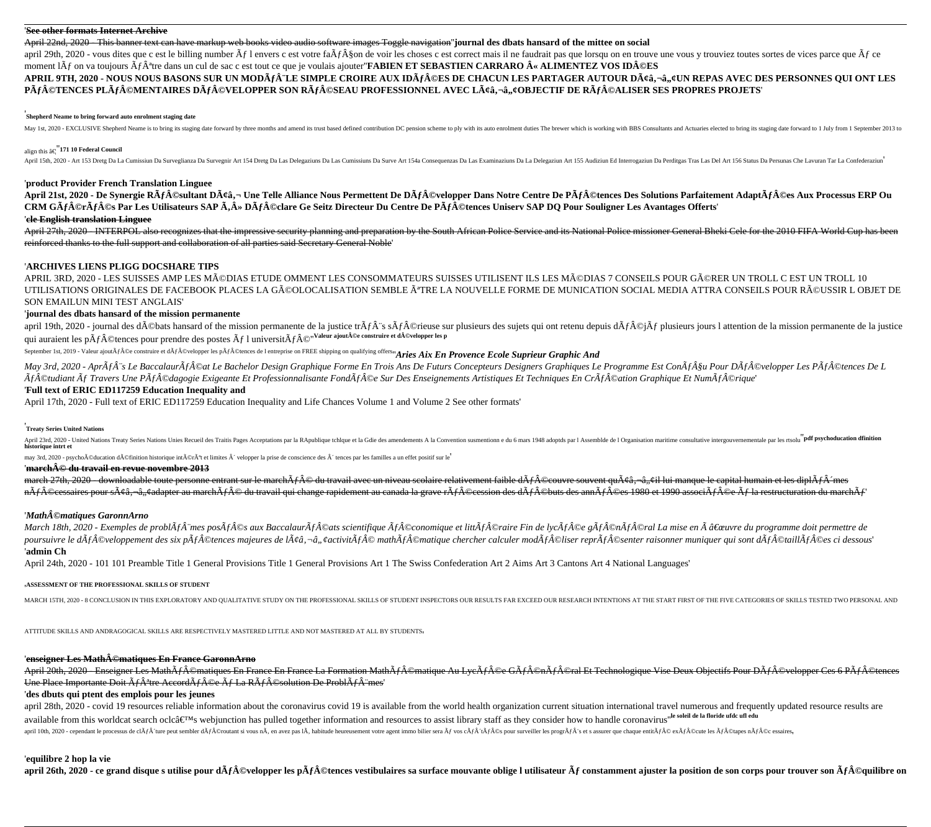## '**See other formats Internet Archive**

April 22nd, 2020 - This banner text can have markup web books video audio software images Toggle navigation''**journal des dbats hansard of the mittee on social**

april 29th, 2020 - yous dites que c est le billing number  $\tilde{A}f$  l envers c est votre fa $\tilde{A}f\tilde{A}$  son de voir les choses c est correct mais il ne faudrait pas que lorsqu on en trouve une vous y trouviez toutes so moment  $\tilde{A}f$  on va toujours  $\tilde{A}f\hat{A}^*$ tre dans un cul de sac c est tout ce que je voulais ajouter **FABIEN ET SEBASTIEN CARRARO**  $\hat{A}$  **« ALIMENTEZ VOS ID** $\hat{A}$ **©ES** 

APRIL 9TH, 2020 - NOUS NOUS BASONS SUR UN MODèLE SIMPLE CROIRE AUX IDéES DE CHACUN LES PARTAGER AUTOUR Dââ,¬â,,¢UN REPAS AVEC DES PERSONNES QUI ONT LES Pà f©TENCES PLà f©MENTAIRES Dà f©VELOPPER SON Rà f©SEAU PROFESSIONNEL AVEC Lââ,¬â,,¢OBJECTIF DE Rà f©ALISER SES PROPRES PROJETS'

## '**Shepherd Neame to bring forward auto enrolment staging date**

May 1st, 2020 - EXCLUSIVE Shepherd Neame is to bring its staging date forward by three months and amend its trust based defined contribution DC pension scheme to ply with its auto enrolment duties The brewer which is worki

# align this …''**171 10 Federal Council**

April 15th, 2020 - Art 153 Dretg Da La Cumissiun Da Surveglianza Da Survegnir Art 154 Dretg Da Las Delegaziuns Da Las Cumissiuns Da Surve Art 154 Qress Da Las Examinaziuns Da La Delegaziun Art 155 Audiziun Ed Interrogaziun

## '**product Provider French Translation Linguee**

April 21st, 2020 - De Synergie RÃf©sultant Dââ,¬ Une Telle Alliance Nous Permettent De DÃf©velopper Dans Notre Centre De PÃf©tences Des Solutions Parfaitement AdaptÃf©es Aux Processus ERP Ou **CRM GÃf©rÃf©s Par Les Utilisateurs SAP Ã,» DÃf©clare Ge Seitz Directeur Du Centre De PÃf©tences Uniserv SAP DO Pour Souligner Les Avantages Offerts'** 

# '**cle English translation Linguee**

April 27th, 2020 - INTERPOL also recognizes that the impressive security planning and preparation by the South African Police Service and its National Police missioner General Bheki Cele for the 2010 FIFA World Cup has bee reinforced thanks to the full support and collaboration of all parties said Secretary General Noble'

# '**ARCHIVES LIENS PLIGG DOCSHARE TIPS**

APRIL 3RD, 2020 - LES SUISSES AMP LES MéDIAS ETUDE OMMENT LES CONSOMMATEURS SUISSES UTILISENT ILS LES MéDIAS 7 CONSEILS POUR GéRER UN TROLL C EST UN TROLL 10 UTILISATIONS ORIGINALES DE FACEBOOK PLACES LA GéOLOCALISATION SEMBLE êTRE LA NOUVELLE FORME DE MUNICATION SOCIAL MEDIA ATTRA CONSEILS POUR RéUSSIR L OBJET DE SON EMAILUN MINI TEST ANGLAIS'

# '**journal des dbats hansard of the mission permanente**

april 19th, 2020 - journal des débats hansard of the mission permanente de la justice tr $\tilde{A}f\hat{A}$ "s s $\tilde{A}f\hat{A}$ ©rieuse sur plusieurs des sujets qui ont retenu depuis d $\tilde{A}f\hat{A}$ ©i $\tilde{A}f$  plusieurs jours l qui auraient les pÂf©tences pour prendre des postes  $\tilde{A}f$  l universitÃf©"Valeur ajout©e construire et d©velopper les p

September 1st, 2019 - Valeur ajout $\tilde{A}f\hat{A}$ ©e construire et d $\tilde{A}f\hat{A}$ ©velopper les p $\tilde{A}f\hat{A}$ ©tences de l entreprise on FREE shipping on qualifying offers''*Aries Aix En Provence Ecole Suprieur Graphic And* 

May 3rd, 2020 - Apr $\tilde{A}$ fà<sup>-s</sup> Le Baccalaur $\tilde{A}$ f $\hat{A}$ ©at Le Bachelor Design Graphique Forme En Trois Ans De Futurs Concepteurs Designers Graphiques Le Programme Est Con $\tilde{A}$ f $\hat{A}$ Su Pour D $\tilde{A}$ f $\hat{A}$ ©vel  $\tilde{A}$ f $\hat{A}$ ©tudiant  $\tilde{A}$ f Travers Une P $\tilde{A}$ f $\hat{A}$ ©dagogie Exigeante Et Professionnalisante Fond $\tilde{A}$ f $\hat{A}$ ©e Sur Des Enseignements Artistiques Et Techniques En Cr $\tilde{A}$ f $\hat{A}$ ©ation Graphique Et Num

## '**Full text of ERIC ED117259 Education Inequality and**

April 17th, 2020 - Full text of ERIC ED117259 Education Inequality and Life Chances Volume 1 and Volume 2 See other formats'

# '**Treaty Series United Nations**

April 23rd, 2020 - United Nations Treaty Series Nations Unies Recueil des Traitis Pages Acceptations par la RApublique tchlque et la Gdie des amendements A la Convention susmentionn e du 6 mars 1948 adoptds par l Assemblde

may 3rd, 2020 - psychoéducation définition historique intérêt et limites ´ velopper la prise de conscience des ´ tences par les familles a un effet positif sur le positif sur le

## '**march© du travail en revue novembre 2013**

march 27th, 2020 - downloadable toute personne entrant sur le marchÂf© du travail avec un niveau scolaire relativement faible dÃf©couvre souvent quââ,¬â,,¢il lui manque le capital humain et les diplÂf´mes nÃf©cessaires pour sââ,¬â,¢adapter au marchÃf© du travail qui change rapidement au canada la grave rÃf©cession des dÃf©buts des annÃf©es 1980 et 1990 associÃf©e Ãf la restructuration du marchÃf

## '*Math©matiques GaronnArno*

*March 18th, 2020 - Exemples de problAf™es posAf©s aux BaccalaurAf©ats scientifique Af©conomique et littAf©raire Fin de lycAf©e gAf©nAf©ral La mise en A "uvre du programme doit permettre de* poursuivre le dÂf©veloppement des six pÂf©tences majeures de lââ,¬â,,¢activitÃf© mathÃf©matique chercher calculer modÃf©liser reprÃf©senter raisonner muniquer qui sont dÃf©taillÃf©es ci dessous' '**admin Ch**

April 24th, 2020 - 101 101 Preamble Title 1 General Provisions Title 1 General Provisions Art 1 The Swiss Confederation Art 2 Aims Art 3 Cantons Art 4 National Languages'

#### '**ASSESSMENT OF THE PROFESSIONAL SKILLS OF STUDENT**

MARCH 15TH, 2020 - 8 CONCLUSION IN THIS EXPLORATORY AND QUALITATIVE STUDY ON THE PROFESSIONAL SKILLS OF STUDENT INSPECTORS OUR RESULTS FAR EXCEED OUR RESEARCH INTENTIONS AT THE START FIRST OF THE FIVE CATEGORIES OF SKILLS

ATTITUDE SKILLS AND ANDRAGOGICAL SKILLS ARE RESPECTIVELY MASTERED LITTLE AND NOT MASTERED AT ALL BY STUDENTS'

## '**enseigner Les Math©matiques En France GaronnArno**

April 20th, 2020 - Enseigner Les MathÃf©matiques En France En France La Formation MathÃf©matique Au LycÃf©e GÃf©nÃf©ral Et Technologique Vise Deux Objectifs Pour DÃf©velopper Ces 6 PÃf©tences Une Place Importante Doit  $\tilde{A}f\hat{A}^{\text{a}}$ tre Accord $\tilde{A}f\hat{A}$ ©e  $\tilde{A}f$  La R $\tilde{A}f\hat{A}^{\text{c}}$ Solution De Probl $\tilde{A}f\hat{A}$  mes'

# '**des dbuts qui ptent des emplois pour les jeunes**

april 28th, 2020 - covid 19 resources reliable information about the coronavirus covid 19 is available from the world health organization current situation international travel numerous and frequently updated resource resu available from this worldcat search oclc's webjunction has pulled together information and resources to assist library staff as they consider how to handle coronavirus<sup>te soleil de la floride ufdc ufl edu</sup>

april 10th, 2020 - cependant le processus de cl $\tilde{A}f\hat{A}$  (ture peut sembler d $\tilde{A}f\hat{A}$  (Prout sembler d $\tilde{A}f\hat{A}$  (Proutant si vous n $\tilde{A}$ , an avez pas 1 $\tilde{A}$ , habitude heureusement votre agent immo bi

#### '**equilibre 2 hop la vie**

april 26th, 2020 - ce grand disque s utilise pour dÃf©velopper les pÃf©tences vestibulaires sa surface mouvante oblige l utilisateur Ãf constamment ajuster la position de son corps pour trouver son Ãf©quilibre on